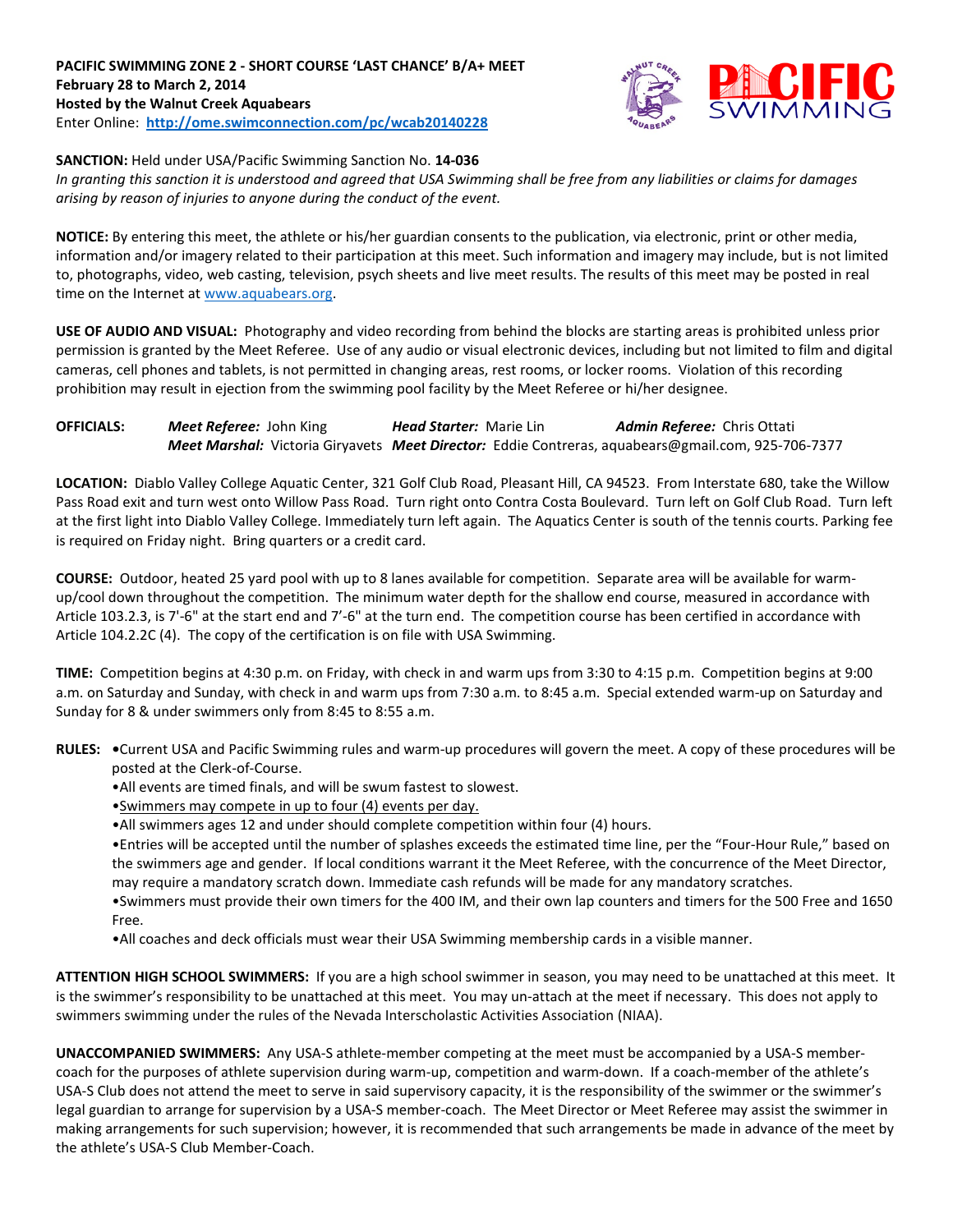

### **SANCTION:** Held under USA/Pacific Swimming Sanction No. **14-036**

*In granting this sanction it is understood and agreed that USA Swimming shall be free from any liabilities or claims for damages arising by reason of injuries to anyone during the conduct of the event.*

**NOTICE:** By entering this meet, the athlete or his/her guardian consents to the publication, via electronic, print or other media, information and/or imagery related to their participation at this meet. Such information and imagery may include, but is not limited to, photographs, video, web casting, television, psych sheets and live meet results. The results of this meet may be posted in real time on the Internet at [www.aquabears.org.](http://www.aquabears.org/)

**USE OF AUDIO AND VISUAL:** Photography and video recording from behind the blocks are starting areas is prohibited unless prior permission is granted by the Meet Referee. Use of any audio or visual electronic devices, including but not limited to film and digital cameras, cell phones and tablets, is not permitted in changing areas, rest rooms, or locker rooms. Violation of this recording prohibition may result in ejection from the swimming pool facility by the Meet Referee or hi/her designee.

**OFFICIALS:** *Meet Referee:* John King *Head Starter:* Marie Lin *Admin Referee:* Chris Ottati *Meet Marshal:* Victoria Giryavets *Meet Director:* Eddie Contreras, aquabears@gmail.com, 925-706-7377

**LOCATION:** Diablo Valley College Aquatic Center, 321 Golf Club Road, Pleasant Hill, CA 94523. From Interstate 680, take the Willow Pass Road exit and turn west onto Willow Pass Road. Turn right onto Contra Costa Boulevard. Turn left on Golf Club Road. Turn left at the first light into Diablo Valley College. Immediately turn left again. The Aquatics Center is south of the tennis courts. Parking fee is required on Friday night. Bring quarters or a credit card.

**COURSE:** Outdoor, heated 25 yard pool with up to 8 lanes available for competition. Separate area will be available for warmup/cool down throughout the competition. The minimum water depth for the shallow end course, measured in accordance with Article 103.2.3, is 7'-6" at the start end and 7'-6" at the turn end. The competition course has been certified in accordance with Article 104.2.2C (4). The copy of the certification is on file with USA Swimming.

**TIME:** Competition begins at 4:30 p.m. on Friday, with check in and warm ups from 3:30 to 4:15 p.m. Competition begins at 9:00 a.m. on Saturday and Sunday, with check in and warm ups from 7:30 a.m. to 8:45 a.m. Special extended warm-up on Saturday and Sunday for 8 & under swimmers only from 8:45 to 8:55 a.m.

- **RULES: •**Current USA and Pacific Swimming rules and warm-up procedures will govern the meet. A copy of these procedures will be posted at the Clerk-of-Course.
	- •All events are timed finals, and will be swum fastest to slowest.
	- •Swimmers may compete in up to four (4) events per day.
	- •All swimmers ages 12 and under should complete competition within four (4) hours.

•Entries will be accepted until the number of splashes exceeds the estimated time line, per the "Four-Hour Rule," based on the swimmers age and gender. If local conditions warrant it the Meet Referee, with the concurrence of the Meet Director, may require a mandatory scratch down. Immediate cash refunds will be made for any mandatory scratches.

•Swimmers must provide their own timers for the 400 IM, and their own lap counters and timers for the 500 Free and 1650 Free.

•All coaches and deck officials must wear their USA Swimming membership cards in a visible manner.

**ATTENTION HIGH SCHOOL SWIMMERS:** If you are a high school swimmer in season, you may need to be unattached at this meet. It is the swimmer's responsibility to be unattached at this meet. You may un-attach at the meet if necessary. This does not apply to swimmers swimming under the rules of the Nevada Interscholastic Activities Association (NIAA).

**UNACCOMPANIED SWIMMERS:** Any USA-S athlete-member competing at the meet must be accompanied by a USA-S membercoach for the purposes of athlete supervision during warm-up, competition and warm-down. If a coach-member of the athlete's USA-S Club does not attend the meet to serve in said supervisory capacity, it is the responsibility of the swimmer or the swimmer's legal guardian to arrange for supervision by a USA-S member-coach. The Meet Director or Meet Referee may assist the swimmer in making arrangements for such supervision; however, it is recommended that such arrangements be made in advance of the meet by the athlete's USA-S Club Member-Coach.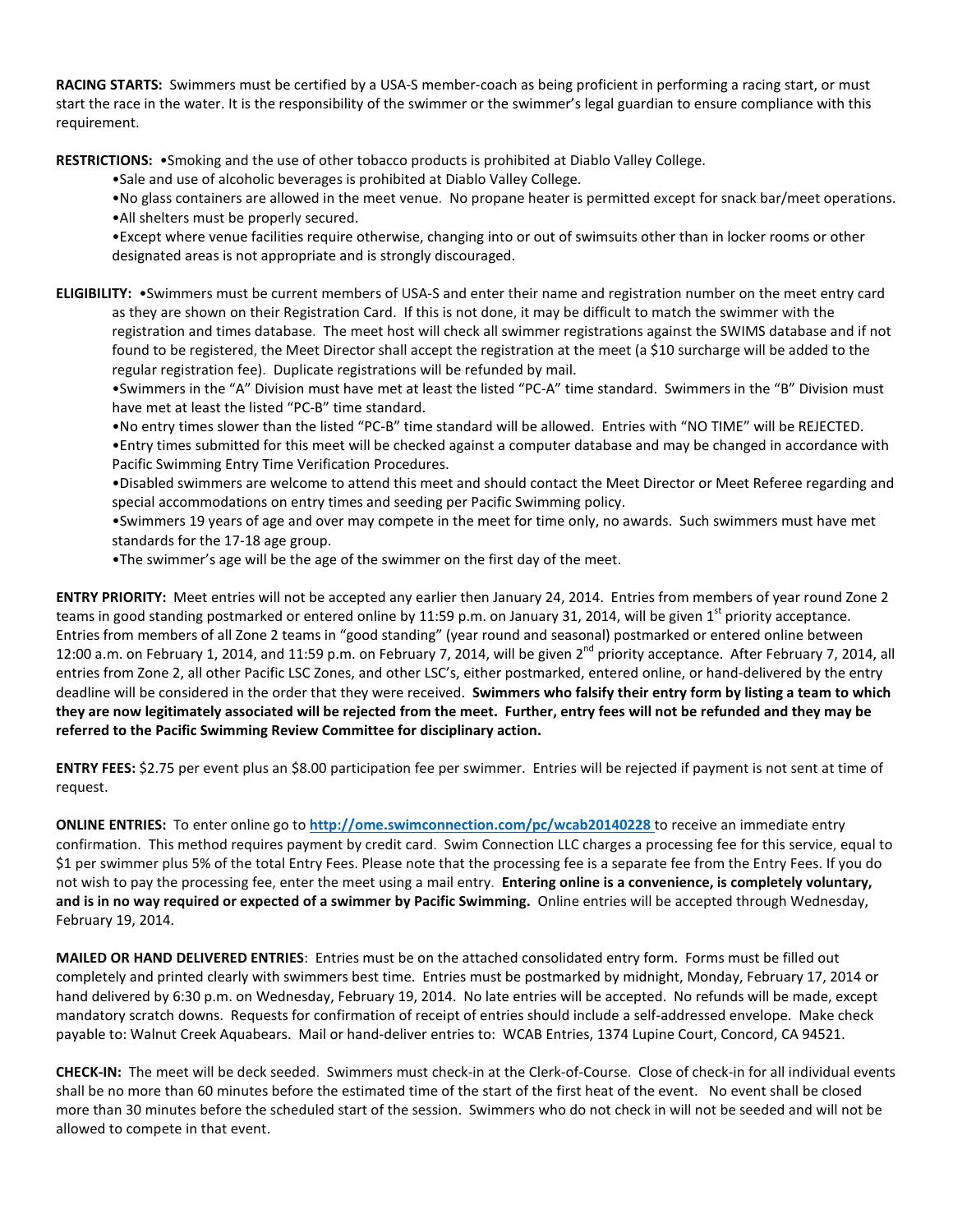**RACING STARTS:** Swimmers must be certified by a USA-S member-coach as being proficient in performing a racing start, or must start the race in the water. It is the responsibility of the swimmer or the swimmer's legal guardian to ensure compliance with this requirement.

**RESTRICTIONS:** •Smoking and the use of other tobacco products is prohibited at Diablo Valley College.

•Sale and use of alcoholic beverages is prohibited at Diablo Valley College.

•No glass containers are allowed in the meet venue. No propane heater is permitted except for snack bar/meet operations. •All shelters must be properly secured.

•Except where venue facilities require otherwise, changing into or out of swimsuits other than in locker rooms or other designated areas is not appropriate and is strongly discouraged.

**ELIGIBILITY:** •Swimmers must be current members of USA-S and enter their name and registration number on the meet entry card as they are shown on their Registration Card. If this is not done, it may be difficult to match the swimmer with the registration and times database. The meet host will check all swimmer registrations against the SWIMS database and if not found to be registered, the Meet Director shall accept the registration at the meet (a \$10 surcharge will be added to the regular registration fee). Duplicate registrations will be refunded by mail.

•Swimmers in the "A" Division must have met at least the listed "PC-A" time standard. Swimmers in the "B" Division must have met at least the listed "PC-B" time standard.

•No entry times slower than the listed "PC-B" time standard will be allowed. Entries with "NO TIME" will be REJECTED.

•Entry times submitted for this meet will be checked against a computer database and may be changed in accordance with Pacific Swimming Entry Time Verification Procedures.

•Disabled swimmers are welcome to attend this meet and should contact the Meet Director or Meet Referee regarding and special accommodations on entry times and seeding per Pacific Swimming policy.

•Swimmers 19 years of age and over may compete in the meet for time only, no awards. Such swimmers must have met standards for the 17-18 age group.

•The swimmer's age will be the age of the swimmer on the first day of the meet.

**ENTRY PRIORITY:** Meet entries will not be accepted any earlier then January 24, 2014. Entries from members of year round Zone 2 teams in good standing postmarked or entered online by 11:59 p.m. on January 31, 2014, will be given 1<sup>st</sup> priority acceptance. Entries from members of all Zone 2 teams in "good standing" (year round and seasonal) postmarked or entered online between 12:00 a.m. on February 1, 2014, and 11:59 p.m. on February 7, 2014, will be given  $2^{nd}$  priority acceptance. After February 7, 2014, all entries from Zone 2, all other Pacific LSC Zones, and other LSC's, either postmarked, entered online, or hand-delivered by the entry deadline will be considered in the order that they were received. **Swimmers who falsify their entry form by listing a team to which they are now legitimately associated will be rejected from the meet. Further, entry fees will not be refunded and they may be referred to the Pacific Swimming Review Committee for disciplinary action.**

**ENTRY FEES:** \$2.75 per event plus an \$8.00 participation fee per swimmer. Entries will be rejected if payment is not sent at time of request.

**ONLINE ENTRIES:** To enter online go to **<http://ome.swimconnection.com/pc/wcab20140228>** to receive an immediate entry confirmation. This method requires payment by credit card. Swim Connection LLC charges a processing fee for this service, equal to \$1 per swimmer plus 5% of the total Entry Fees. Please note that the processing fee is a separate fee from the Entry Fees. If you do not wish to pay the processing fee, enter the meet using a mail entry. **Entering online is a convenience, is completely voluntary, and is in no way required or expected of a swimmer by Pacific Swimming.** Online entries will be accepted through Wednesday, February 19, 2014.

**MAILED OR HAND DELIVERED ENTRIES**: Entries must be on the attached consolidated entry form. Forms must be filled out completely and printed clearly with swimmers best time. Entries must be postmarked by midnight, Monday, February 17, 2014 or hand delivered by 6:30 p.m. on Wednesday, February 19, 2014. No late entries will be accepted. No refunds will be made, except mandatory scratch downs. Requests for confirmation of receipt of entries should include a self-addressed envelope. Make check payable to: Walnut Creek Aquabears. Mail or hand-deliver entries to: WCAB Entries, 1374 Lupine Court, Concord, CA 94521.

**CHECK-IN:** The meet will be deck seeded. Swimmers must check-in at the Clerk-of-Course. Close of check-in for all individual events shall be no more than 60 minutes before the estimated time of the start of the first heat of the event. No event shall be closed more than 30 minutes before the scheduled start of the session. Swimmers who do not check in will not be seeded and will not be allowed to compete in that event.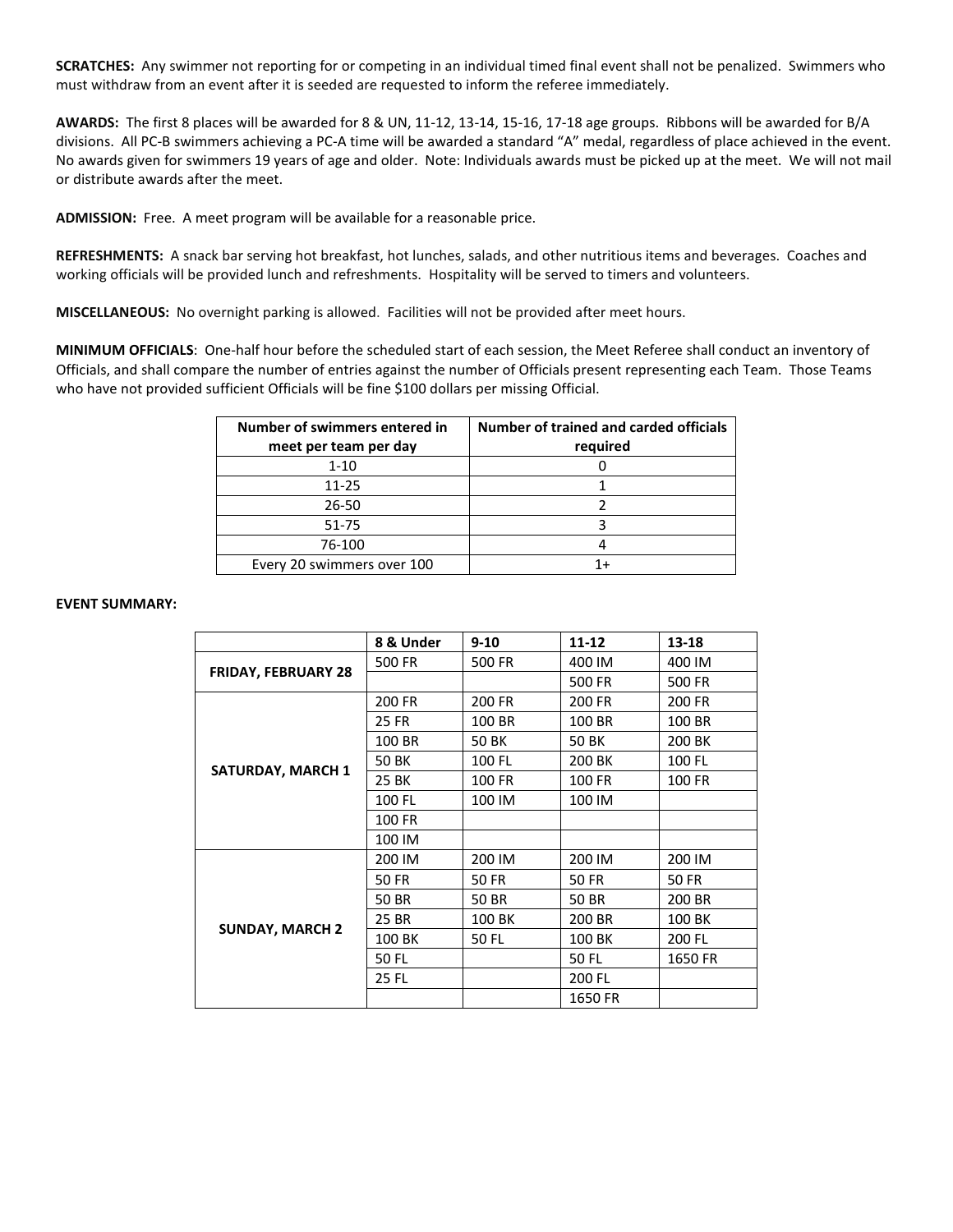**SCRATCHES:** Any swimmer not reporting for or competing in an individual timed final event shall not be penalized. Swimmers who must withdraw from an event after it is seeded are requested to inform the referee immediately.

**AWARDS:** The first 8 places will be awarded for 8 & UN, 11-12, 13-14, 15-16, 17-18 age groups. Ribbons will be awarded for B/A divisions. All PC-B swimmers achieving a PC-A time will be awarded a standard "A" medal, regardless of place achieved in the event. No awards given for swimmers 19 years of age and older. Note: Individuals awards must be picked up at the meet. We will not mail or distribute awards after the meet.

**ADMISSION:** Free. A meet program will be available for a reasonable price.

**REFRESHMENTS:** A snack bar serving hot breakfast, hot lunches, salads, and other nutritious items and beverages. Coaches and working officials will be provided lunch and refreshments. Hospitality will be served to timers and volunteers.

**MISCELLANEOUS:** No overnight parking is allowed. Facilities will not be provided after meet hours.

**MINIMUM OFFICIALS**: One-half hour before the scheduled start of each session, the Meet Referee shall conduct an inventory of Officials, and shall compare the number of entries against the number of Officials present representing each Team. Those Teams who have not provided sufficient Officials will be fine \$100 dollars per missing Official.

| Number of swimmers entered in | Number of trained and carded officials |
|-------------------------------|----------------------------------------|
| meet per team per day         | required                               |
| $1 - 10$                      |                                        |
| $11 - 25$                     |                                        |
| 26-50                         |                                        |
| $51 - 75$                     |                                        |
| 76-100                        |                                        |
| Every 20 swimmers over 100    | $1+$                                   |

#### **EVENT SUMMARY:**

|                            | 8 & Under    | $9 - 10$     | $11 - 12$     | $13 - 18$ |
|----------------------------|--------------|--------------|---------------|-----------|
|                            | 500 FR       | 500 FR       | 400 IM        | 400 IM    |
| <b>FRIDAY, FEBRUARY 28</b> |              |              | 500 FR        | 500 FR    |
|                            | 200 FR       | 200 FR       | <b>200 FR</b> | 200 FR    |
|                            | <b>25 FR</b> | 100 BR       | 100 BR        | 100 BR    |
|                            | 100 BR       | <b>50 BK</b> | <b>50 BK</b>  | 200 BK    |
|                            | <b>50 BK</b> | 100 FL       | 200 BK        | 100 FL    |
| <b>SATURDAY, MARCH 1</b>   | 25 BK        | 100 FR       | 100 FR        | 100 FR    |
|                            | 100 FL       | 100 IM       | 100 IM        |           |
|                            | 100 FR       |              |               |           |
|                            | 100 IM       |              |               |           |
|                            | 200 IM       | 200 IM       | 200 IM        | 200 IM    |
|                            | 50 FR        | 50 FR        | 50 FR         | 50 FR     |
|                            | 50 BR        | 50 BR        | 50 BR         | 200 BR    |
|                            | 25 BR        | 100 BK       | 200 BR        | 100 BK    |
| <b>SUNDAY, MARCH 2</b>     | 100 BK       | 50 FL        | 100 BK        | 200 FL    |
|                            | 50 FL        |              | 50 FL         | 1650 FR   |
|                            | 25 FL        |              | 200 FL        |           |
|                            |              |              | 1650 FR       |           |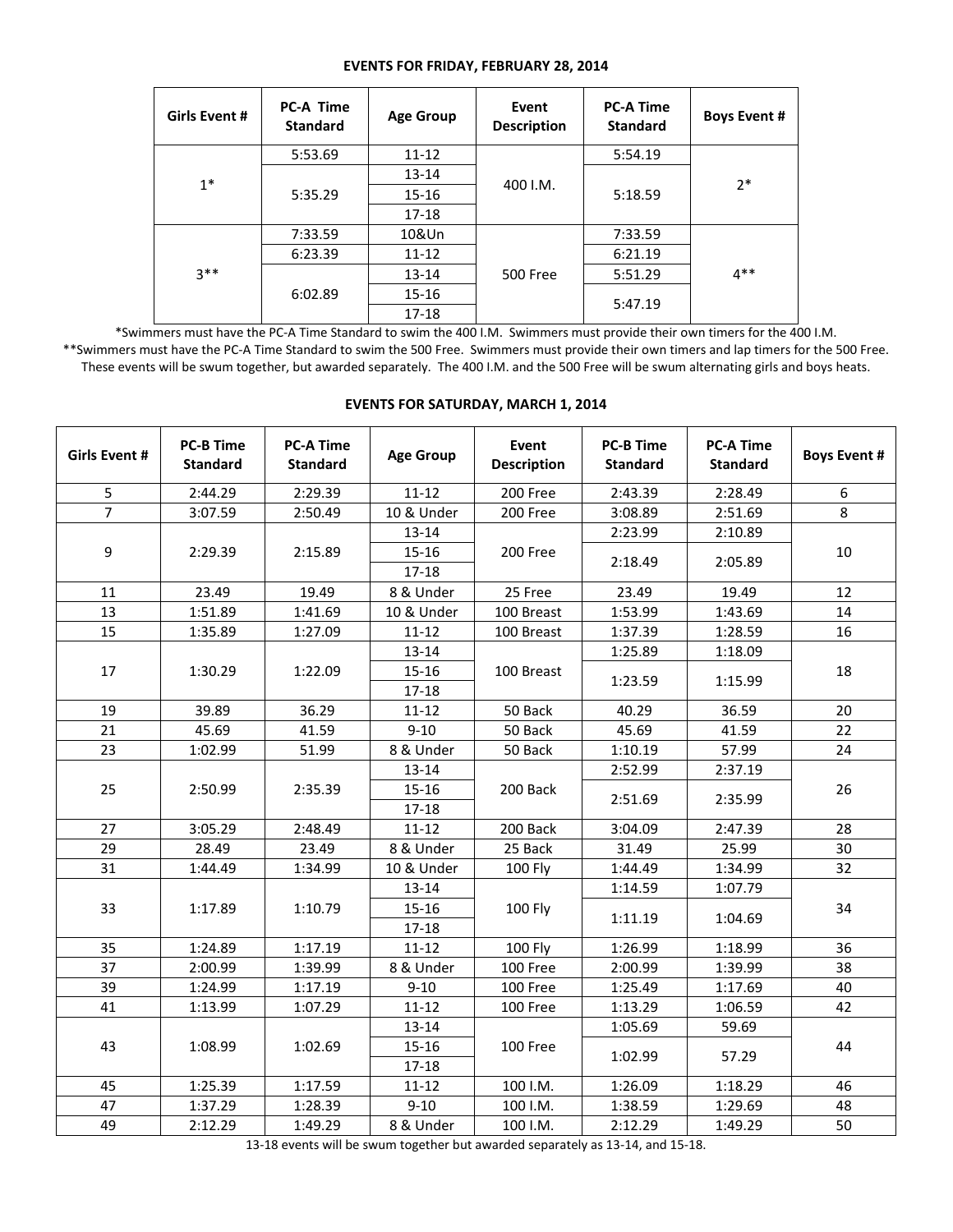### **EVENTS FOR FRIDAY, FEBRUARY 28, 2014**

| Girls Event # | <b>PC-A Time</b><br><b>Standard</b> | <b>Age Group</b>             | Event<br><b>Description</b> | <b>PC-A Time</b><br><b>Standard</b> | <b>Boys Event #</b> |
|---------------|-------------------------------------|------------------------------|-----------------------------|-------------------------------------|---------------------|
|               | 5:53.69                             | $11 - 12$                    |                             | 5:54.19                             |                     |
| $1*$          |                                     | $13 - 14$                    | 400 I.M.                    | $2*$                                |                     |
|               | 5:35.29                             | $15 - 16$                    |                             | 5:18.59                             |                     |
|               |                                     | $17 - 18$                    |                             |                                     |                     |
|               | 7:33.59                             | 10&Un                        |                             | 7:33.59                             |                     |
| $3**$         | 6:23.39                             | $11 - 12$                    |                             | 6:21.19                             |                     |
|               |                                     | $13 - 14$<br><b>500 Free</b> |                             | 5:51.29                             | $4***$              |
|               | 6:02.89                             | $15 - 16$                    |                             | 5:47.19                             |                     |
|               |                                     | 17-18                        |                             |                                     |                     |

\*Swimmers must have the PC-A Time Standard to swim the 400 I.M. Swimmers must provide their own timers for the 400 I.M. \*\*Swimmers must have the PC-A Time Standard to swim the 500 Free. Swimmers must provide their own timers and lap timers for the 500 Free. These events will be swum together, but awarded separately. The 400 I.M. and the 500 Free will be swum alternating girls and boys heats.

**EVENTS FOR SATURDAY, MARCH 1, 2014**

| <b>Girls Event #</b> | <b>PC-B Time</b><br><b>Standard</b> | <b>PC-A Time</b><br><b>Standard</b> | <b>Age Group</b> | Event<br><b>Description</b> | <b>PC-B Time</b><br><b>Standard</b> | <b>PC-A Time</b><br><b>Standard</b> | <b>Boys Event #</b> |  |
|----------------------|-------------------------------------|-------------------------------------|------------------|-----------------------------|-------------------------------------|-------------------------------------|---------------------|--|
| 5                    | 2:44.29                             | 2:29.39                             | $11 - 12$        | 200 Free                    | 2:43.39                             | 2:28.49                             | 6                   |  |
| $\overline{7}$       | 3:07.59                             | 2:50.49                             | 10 & Under       | 200 Free                    | 3:08.89                             | 2:51.69                             | 8                   |  |
|                      |                                     |                                     | $13 - 14$        |                             | 2:23.99                             | 2:10.89                             |                     |  |
| 9                    | 2:29.39                             | 2:15.89                             | $15 - 16$        | 200 Free                    |                                     |                                     | 10                  |  |
|                      |                                     |                                     | $17 - 18$        |                             | 2:18.49                             | 2:05.89                             |                     |  |
| 11                   | 23.49                               | 19.49                               | 8 & Under        | 25 Free                     | 23.49                               | 19.49                               | 12                  |  |
| 13                   | 1:51.89                             | 1:41.69                             | 10 & Under       | 100 Breast                  | 1:53.99                             | 1:43.69                             | 14                  |  |
| 15                   | 1:35.89                             | 1:27.09                             | $11 - 12$        | 100 Breast                  | 1:37.39                             | 1:28.59                             | 16                  |  |
|                      |                                     | $13 - 14$                           |                  |                             | 1:25.89                             | 1:18.09                             |                     |  |
| 17                   | 1:30.29                             | 1:22.09                             | $15 - 16$        | 100 Breast                  |                                     |                                     | 18                  |  |
|                      |                                     |                                     | $17 - 18$        |                             | 1:23.59                             | 1:15.99                             |                     |  |
| 19                   | 39.89                               | 36.29                               | $11 - 12$        | 50 Back                     | 40.29                               | 36.59                               | 20                  |  |
| 21                   | 45.69                               | 41.59                               | $9 - 10$         | 50 Back                     | 45.69                               | 41.59                               | 22                  |  |
| 23                   | 1:02.99                             | 51.99                               | 8 & Under        | 50 Back                     | 1:10.19                             | 57.99                               | 24                  |  |
| 25                   | 2:50.99                             |                                     | $13 - 14$        |                             | 2:52.99                             | 2:37.19                             |                     |  |
|                      |                                     | 2:35.39                             | $15 - 16$        | 200 Back                    |                                     |                                     | 26                  |  |
|                      |                                     |                                     | $17 - 18$        |                             | 2:51.69                             | 2:35.99                             |                     |  |
| 27                   | 3:05.29                             | 2:48.49                             | $11 - 12$        | 200 Back                    | 3:04.09                             | 2:47.39                             | 28                  |  |
| 29                   | 28.49                               | 23.49                               | 8 & Under        | 25 Back                     | 31.49                               | 25.99                               | 30                  |  |
| 31                   | 1:44.49                             | 1:34.99                             | 10 & Under       | <b>100 Fly</b>              | 1:44.49                             | 1:34.99                             | 32                  |  |
|                      | 1:17.89                             |                                     | $13 - 14$        |                             | 1:14.59                             | 1:07.79                             |                     |  |
| 33                   |                                     | 1:10.79                             | $15 - 16$        | 100 Fly                     |                                     |                                     | 34                  |  |
|                      |                                     |                                     | $17 - 18$        |                             | 1:11.19                             | 1:04.69                             |                     |  |
| 35                   | 1:24.89                             | 1:17.19                             | $11 - 12$        | 100 Fly                     | 1:26.99                             | 1:18.99                             | 36                  |  |
| 37                   | 2:00.99                             | 1:39.99                             | 8 & Under        | 100 Free                    | 2:00.99                             | 1:39.99                             | 38                  |  |
| 39                   | 1:24.99                             | 1:17.19                             | $9 - 10$         | 100 Free                    | 1:25.49                             | 1:17.69                             | 40                  |  |
| 41                   | 1:13.99                             | 1:07.29                             | $11 - 12$        | 100 Free                    | 1:13.29                             | 1:06.59                             | 42                  |  |
|                      |                                     |                                     | $13 - 14$        |                             | 1:05.69                             | 59.69                               |                     |  |
| 43                   | 1:08.99                             | 1:02.69                             | $15 - 16$        | 100 Free                    |                                     |                                     | 44                  |  |
|                      |                                     |                                     | $17 - 18$        |                             | 1:02.99                             | 57.29                               |                     |  |
| 45                   | 1:25.39                             | 1:17.59                             | $11 - 12$        | 100 I.M.                    | 1:26.09                             | 1:18.29                             | 46                  |  |
| 47                   | 1:37.29                             | 1:28.39                             | $9 - 10$         | 100 I.M.                    | 1:38.59                             | 1:29.69                             | 48                  |  |
| 49                   | 2:12.29                             | 1:49.29                             | 8 & Under        | 100 I.M.                    | 2:12.29                             | 1:49.29                             | 50                  |  |

13-18 events will be swum together but awarded separately as 13-14, and 15-18.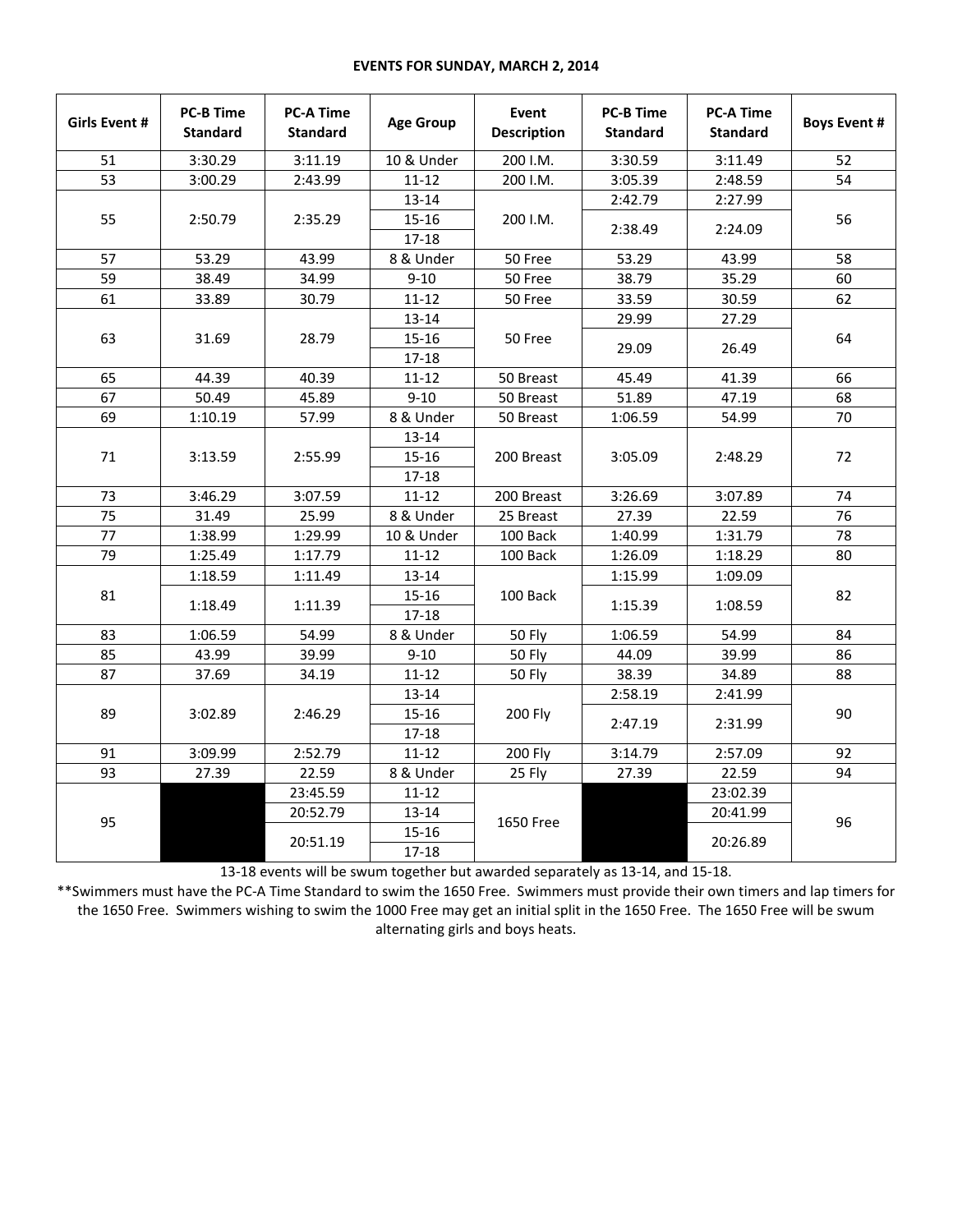### **EVENTS FOR SUNDAY, MARCH 2, 2014**

| Girls Event # | <b>PC-B Time</b><br><b>Standard</b> | <b>PC-A Time</b><br><b>Standard</b> | <b>Age Group</b> | Event<br><b>Description</b> | <b>PC-B Time</b><br><b>Standard</b> | <b>PC-A Time</b><br><b>Standard</b> | <b>Boys Event #</b> |  |
|---------------|-------------------------------------|-------------------------------------|------------------|-----------------------------|-------------------------------------|-------------------------------------|---------------------|--|
| 51            | 3:30.29                             | 3:11.19                             | 10 & Under       | 200 I.M.                    | 3:30.59                             | 3:11.49                             | 52                  |  |
| 53            | 3:00.29                             | 2:43.99                             | $11 - 12$        | 200 I.M.                    | 3:05.39                             | 2:48.59                             | 54                  |  |
|               |                                     |                                     | $13 - 14$        |                             | 2:42.79                             | 2:27.99                             |                     |  |
| 55            | 2:50.79                             | 2:35.29                             | 15-16            | 200 I.M.                    |                                     |                                     | 56                  |  |
|               |                                     |                                     | $17 - 18$        |                             | 2:38.49                             | 2:24.09                             |                     |  |
| 57            | 53.29                               | 43.99                               | 8 & Under        | 50 Free                     | 53.29                               | 43.99                               | 58                  |  |
| 59            | 38.49                               | 34.99                               | $9 - 10$         | 50 Free                     | 38.79                               | 35.29                               | 60                  |  |
| 61            | 33.89                               | 30.79                               | $11 - 12$        | 50 Free                     | 33.59                               | 30.59                               | 62                  |  |
|               |                                     |                                     | $13 - 14$        |                             | 29.99                               | 27.29                               |                     |  |
| 63            | 31.69                               | 28.79                               | $15 - 16$        | 50 Free                     |                                     |                                     | 64                  |  |
|               |                                     |                                     | $17 - 18$        |                             | 29.09                               | 26.49                               |                     |  |
| 65            | 44.39                               | 40.39                               | $11 - 12$        | 50 Breast                   | 45.49                               | 41.39                               | 66                  |  |
| 67            | 50.49                               | 45.89                               | $9 - 10$         | 50 Breast                   | 51.89                               | 47.19                               | 68                  |  |
| 69            | 1:10.19                             | 57.99                               | 8 & Under        | 50 Breast                   | 1:06.59                             | 54.99                               | 70                  |  |
|               | 3:13.59                             |                                     | $13 - 14$        |                             | 3:05.09                             | 2:48.29                             |                     |  |
| 71            |                                     | 2:55.99                             | $15 - 16$        | 200 Breast                  |                                     |                                     | 72                  |  |
|               |                                     |                                     | $17 - 18$        |                             |                                     |                                     |                     |  |
| 73            | 3:46.29                             | 3:07.59                             | $11 - 12$        | 200 Breast                  | 3:26.69                             | 3:07.89                             | 74                  |  |
| 75            | 31.49                               | 25.99                               | 8 & Under        | 25 Breast                   | 27.39                               | 22.59                               | 76                  |  |
| 77            | 1:38.99                             | 1:29.99                             | 10 & Under       | 100 Back                    | 1:40.99                             | 1:31.79                             | 78                  |  |
| 79            | 1:25.49                             | 1:17.79                             | $11 - 12$        | 100 Back                    | 1:26.09                             | 1:18.29                             | 80                  |  |
|               | 1:18.59                             | 1:11.49                             | 13-14            |                             | 1:15.99                             | 1:09.09                             |                     |  |
| 81            | 1:18.49                             | 1:11.39                             | $15 - 16$        | 100 Back                    | 1:15.39                             | 1:08.59                             | 82                  |  |
|               |                                     |                                     | $17 - 18$        |                             |                                     |                                     |                     |  |
| 83            | 1:06.59                             | 54.99                               | 8 & Under        | 50 Fly                      | 1:06.59                             | 54.99                               | 84                  |  |
| 85            | 43.99                               | 39.99                               | $9 - 10$         | <b>50 Flv</b>               | 44.09                               | 39.99                               | 86                  |  |
| 87            | 37.69                               | 34.19                               | $11 - 12$        | <b>50 Fly</b>               | 38.39                               | 34.89                               | 88                  |  |
|               |                                     |                                     | $13 - 14$        |                             | 2:58.19                             | 2:41.99                             |                     |  |
| 89            | 3:02.89                             | 2:46.29                             | $15 - 16$        | 200 Fly                     | 2:47.19                             | 2:31.99                             | 90                  |  |
|               |                                     |                                     | $17-18$          |                             |                                     |                                     |                     |  |
| 91            | 3:09.99                             | 2:52.79                             | $11 - 12$        | <b>200 Fly</b>              | 3:14.79                             | 2:57.09                             | 92                  |  |
| 93            | 27.39                               | 22.59                               | 8 & Under        | 25 Fly                      | 27.39                               | 22.59                               | 94                  |  |
|               |                                     | 23:45.59                            | 11-12            |                             |                                     | 23:02.39                            |                     |  |
|               |                                     | 20:52.79                            | 13-14            |                             |                                     | 20:41.99                            |                     |  |
| 95            |                                     |                                     | $15 - 16$        | 1650 Free                   |                                     |                                     | 96                  |  |
|               |                                     | 20:51.19                            | $17-18$          |                             |                                     | 20:26.89                            |                     |  |

13-18 events will be swum together but awarded separately as 13-14, and 15-18.

\*\*Swimmers must have the PC-A Time Standard to swim the 1650 Free. Swimmers must provide their own timers and lap timers for the 1650 Free. Swimmers wishing to swim the 1000 Free may get an initial split in the 1650 Free. The 1650 Free will be swum alternating girls and boys heats.